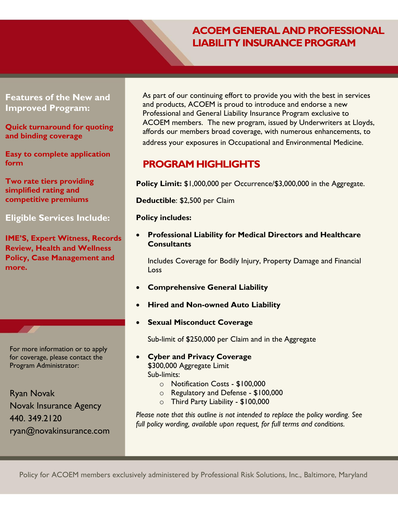# **ACOEM GENERAL AND PROFESSIONAL LIABILITY INSURANCE PROGRAM**

## **Features of the New and Improved Program:**

**Quick turnaround for quoting and binding coverage**

**Easy to complete application form** 

**Two rate tiers providing simplified rating and competitive premiums** 

## **Eligible Services Include:**

**IME'S, Expert Witness, Records Review, Health and Wellness Policy, Case Management and more.**

For more information or to apply for coverage, please contact the Program Administrator:

Ryan Novak Novak Insurance Agency 440. 349.2120 [ryan@novakinsurance.com](mailto:ryan@novakinsurance.com) As part of our continuing effort to provide you with the best in services and products, ACOEM is proud to introduce and endorse a new Professional and General Liability Insurance Program exclusive to ACOEM members. The new program, issued by Underwriters at Lloyds, affords our members broad coverage, with numerous enhancements, to address your exposures in Occupational and Environmental Medicine.

## **PROGRAM HIGHLIGHTS**

**Policy Limit:** \$1,000,000 per Occurrence/\$3,000,000 in the Aggregate.

**Deductible**: \$2,500 per Claim

#### **Policy includes:**

 **Professional Liability for Medical Directors and Healthcare Consultants**

Includes Coverage for Bodily Injury, Property Damage and Financial Loss

- **Comprehensive General Liability**
- **Hired and Non-owned Auto Liability**
- **Sexual Misconduct Coverage**

Sub-limit of \$250,000 per Claim and in the Aggregate

- **Cyber and Privacy Coverage** \$300,000 Aggregate Limit Sub-limits:
	- o Notification Costs \$100,000
		- o Regulatory and Defense \$100,000
		- o Third Party Liability \$100,000

*Please note that this outline is not intended to replace the policy wording. See full policy wording, available upon request, for full terms and conditions.*

*Please note that this outline is not intended to replace the policy wording.* 

Policy for ACOEM members exclusively administered by Professional Risk Solutions, Inc., Baltimore, Maryland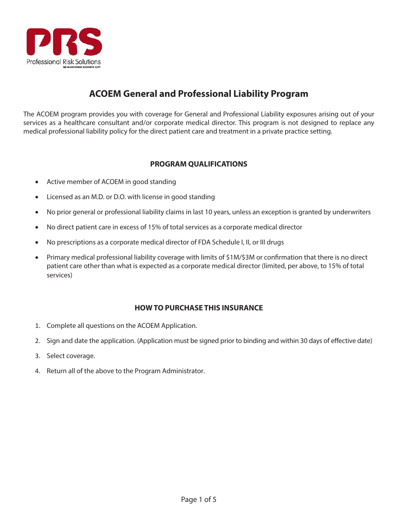

## **ACOEM General and Professional Liability Program**

The ACOEM program provides you with coverage for General and Professional Liability exposures arising out of your services as a healthcare consultant and/or corporate medical director. This program is not designed to replace any medical professional liability policy for the direct patient care and treatment in a private practice setting.

### **PROGRAM QUALIFICATIONS**

- Active member of ACOEM in good standing
- Licensed as an M.D. or D.O. with license in good standing
- No prior general or professional liability claims in last 10 years, unless an exception is granted by underwriters
- No direct patient care in excess of 15% of total services as a corporate medical director
- No prescriptions as a corporate medical director of FDA Schedule I, II, or III drugs
- Primary medical professional liability coverage with limits of \$1M/\$3M or confirmation that there is no direct patient care other than what is expected as a corporate medical director (limited, per above, to 15% of total services)

### **HOW TO PURCHASE THIS INSURANCE**

- 1. Complete all questions on the ACOEM Application.
- 2. Sign and date the application. (Application must be signed prior to binding and within 30 days of effective date)
- 3. Select coverage.
- 4. Return all of the above to the Program Administrator.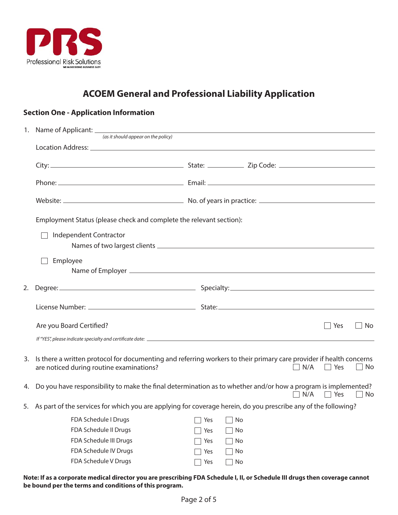

# **ACOEM General and Professional Liability Application**

### **Section One - Application Information**

|    | (as it should appear on the policy)                                                                                                                                                                                            |     |    |  |     |                |           |
|----|--------------------------------------------------------------------------------------------------------------------------------------------------------------------------------------------------------------------------------|-----|----|--|-----|----------------|-----------|
|    |                                                                                                                                                                                                                                |     |    |  |     |                |           |
|    |                                                                                                                                                                                                                                |     |    |  |     |                |           |
|    |                                                                                                                                                                                                                                |     |    |  |     |                |           |
|    |                                                                                                                                                                                                                                |     |    |  |     |                |           |
|    | Employment Status (please check and complete the relevant section):                                                                                                                                                            |     |    |  |     |                |           |
|    | Independent Contractor                                                                                                                                                                                                         |     |    |  |     |                |           |
|    |                                                                                                                                                                                                                                |     |    |  |     |                |           |
|    | Employee                                                                                                                                                                                                                       |     |    |  |     |                |           |
|    |                                                                                                                                                                                                                                |     |    |  |     |                |           |
|    |                                                                                                                                                                                                                                |     |    |  |     |                |           |
| 2. | Degree: Specialty: Specialty: Specialty: Specialty: Specialty: Specialty: Specialty: Specialty: Specialty: Specialty: Specialty: Specialty: Specialty: Specialty: Specialty: Specialty: Specialty: Specialty: Specialty: Speci |     |    |  |     |                |           |
|    |                                                                                                                                                                                                                                |     |    |  |     |                |           |
|    | Are you Board Certified?                                                                                                                                                                                                       |     |    |  |     | <sup>Nes</sup> | $\Box$ No |
|    |                                                                                                                                                                                                                                |     |    |  |     |                |           |
| 3. | Is there a written protocol for documenting and referring workers to their primary care provider if health concerns<br>are noticed during routine examinations?                                                                |     |    |  | N/A | Yes            | No        |
|    | 4. Do you have responsibility to make the final determination as to whether and/or how a program is implemented?                                                                                                               |     |    |  | N/A | $\Box$ Yes     | $\Box$ No |
|    | 5. As part of the services for which you are applying for coverage herein, do you prescribe any of the following?                                                                                                              |     |    |  |     |                |           |
|    | FDA Schedule I Drugs and The Schedule I Drugs and The Schedule I Drugs and The Schedule I Drugs and The Schedu                                                                                                                 |     |    |  |     |                |           |
|    | FDA Schedule II Drugs                                                                                                                                                                                                          | Yes | No |  |     |                |           |
|    | FDA Schedule III Drugs                                                                                                                                                                                                         | Yes | No |  |     |                |           |
|    | FDA Schedule IV Drugs                                                                                                                                                                                                          | Yes | No |  |     |                |           |
|    | FDA Schedule V Drugs                                                                                                                                                                                                           | Yes | No |  |     |                |           |
|    |                                                                                                                                                                                                                                |     |    |  |     |                |           |

**Note: If as a corporate medical director you are prescribing FDA Schedule I, II, or Schedule III drugs then coverage cannot be bound per the terms and conditions of this program.**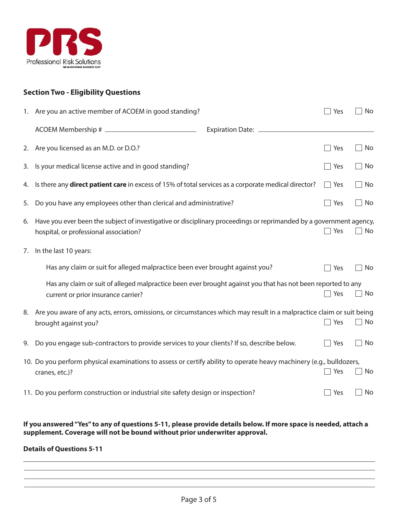

### **Section Two - Eligibility Questions**

|    | 1. Are you an active member of ACOEM in good standing?                                                                                                       | Yes        | No                             |
|----|--------------------------------------------------------------------------------------------------------------------------------------------------------------|------------|--------------------------------|
|    | Expiration Date: _______                                                                                                                                     |            |                                |
| 2. | Are you licensed as an M.D. or D.O.?                                                                                                                         | Yes        | No                             |
| 3. | Is your medical license active and in good standing?                                                                                                         | $\Box$ Yes | No                             |
| 4. | Is there any direct patient care in excess of 15% of total services as a corporate medical director?                                                         | $\Box$ Yes | No                             |
| 5. | Do you have any employees other than clerical and administrative?                                                                                            | $\Box$ Yes | No                             |
| 6. | Have you ever been the subject of investigative or disciplinary proceedings or reprimanded by a government agency,<br>hospital, or professional association? | $\Box$ Yes | $\Box$ No                      |
| 7. | In the last 10 years:                                                                                                                                        |            |                                |
|    | Has any claim or suit for alleged malpractice been ever brought against you?                                                                                 | Yes        | No                             |
|    | Has any claim or suit of alleged malpractice been ever brought against you that has not been reported to any<br>current or prior insurance carrier?          | Yes        | No<br>$\overline{\phantom{0}}$ |
| 8. | Are you aware of any acts, errors, omissions, or circumstances which may result in a malpractice claim or suit being<br>brought against you?                 | $\Box$ Yes | $\Box$ No                      |
| 9. | Do you engage sub-contractors to provide services to your clients? If so, describe below.                                                                    | $\Box$ Yes | $\Box$ No                      |
|    | 10. Do you perform physical examinations to assess or certify ability to operate heavy machinery (e.g., bulldozers,<br>cranes, etc.)?                        | $\Box$ Yes | No                             |
|    | 11. Do you perform construction or industrial site safety design or inspection?                                                                              | Yes        | No                             |
|    | If you answered "Yes" to any of questions 5-11, please provide details below. If more space is needed, attach a                                              |            |                                |

#### **Details of Questions 5-11**

**supplement. Coverage will not be bound without prior underwriter approval.**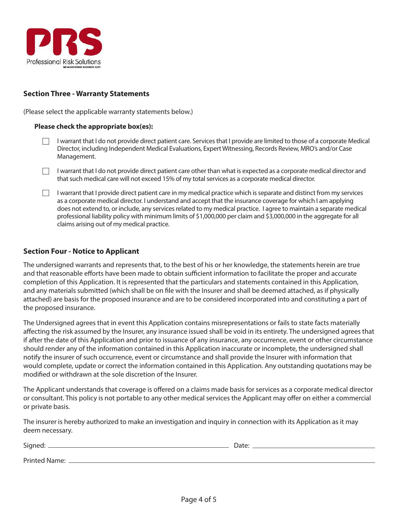

### **Section Three - Warranty Statements**

(Please select the applicable warranty statements below.)

#### **Please check the appropriate box(es):**

- I warrant that I do not provide direct patient care. Services that I provide are limited to those of a corporate Medical Director, including Independent Medical Evaluations, Expert Witnessing, Records Review, MRO's and/or Case Management.
- I warrant that I do not provide direct patient care other than what is expected as a corporate medical director and that such medical care will not exceed 15% of my total services as a corporate medical director.
- I warrant that I provide direct patient care in my medical practice which is separate and distinct from my services as a corporate medical director. I understand and accept that the insurance coverage for which I am applying does not extend to, or include, any services related to my medical practice. I agree to maintain a separate medical professional liability policy with minimum limits of \$1,000,000 per claim and \$3,000,000 in the aggregate for all claims arising out of my medical practice.

#### **Section Four - Notice to Applicant**

The undersigned warrants and represents that, to the best of his or her knowledge, the statements herein are true and that reasonable efforts have been made to obtain sufficient information to facilitate the proper and accurate completion of this Application. It is represented that the particulars and statements contained in this Application, and any materials submitted (which shall be on file with the Insurer and shall be deemed attached, as if physically attached) are basis for the proposed insurance and are to be considered incorporated into and constituting a part of the proposed insurance.

The Undersigned agrees that in event this Application contains misrepresentations or fails to state facts materially affecting the risk assumed by the Insurer, any insurance issued shall be void in its entirety. The undersigned agrees that if after the date of this Application and prior to issuance of any insurance, any occurrence, event or other circumstance should render any of the information contained in this Application inaccurate or incomplete, the undersigned shall notify the insurer of such occurrence, event or circumstance and shall provide the Insurer with information that would complete, update or correct the information contained in this Application. Any outstanding quotations may be modified or withdrawn at the sole discretion of the Insurer.

The Applicant understands that coverage is offered on a claims made basis for services as a corporate medical director or consultant. This policy is not portable to any other medical services the Applicant may offer on either a commercial or private basis.

The insurer is hereby authorized to make an investigation and inquiry in connection with its Application as it may deem necessary.

| Signed:              | Date: |
|----------------------|-------|
| <b>Printed Name:</b> |       |